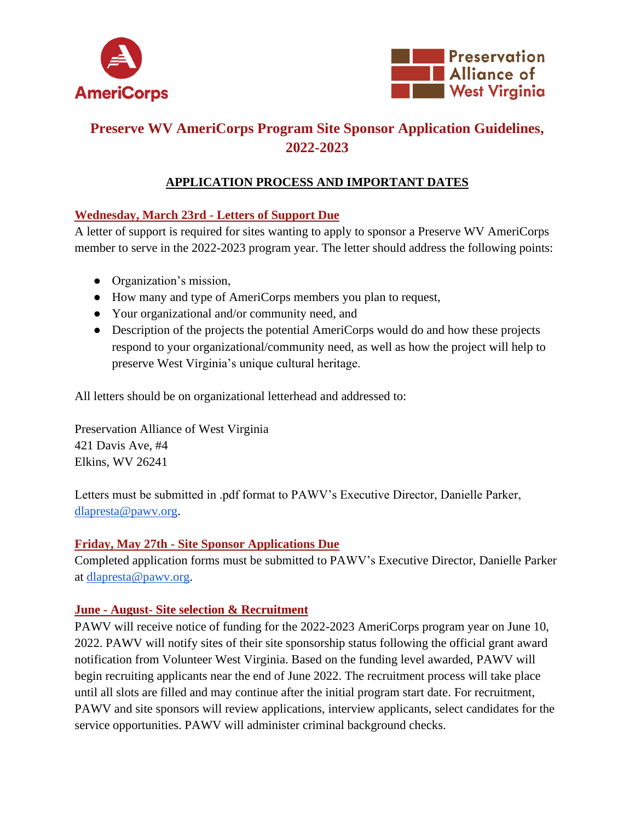



# **Preserve WV AmeriCorps Program Site Sponsor Application Guidelines, 2022-2023**

## **APPLICATION PROCESS AND IMPORTANT DATES**

#### **Wednesday, March 23rd - Letters of Support Due**

A letter of support is required for sites wanting to apply to sponsor a Preserve WV AmeriCorps member to serve in the 2022-2023 program year. The letter should address the following points:

- Organization's mission,
- How many and type of AmeriCorps members you plan to request,
- Your organizational and/or community need, and
- Description of the projects the potential AmeriCorps would do and how these projects respond to your organizational/community need, as well as how the project will help to preserve West Virginia's unique cultural heritage.

All letters should be on organizational letterhead and addressed to:

Preservation Alliance of West Virginia 421 Davis Ave, #4 Elkins, WV 26241

Letters must be submitted in .pdf format to PAWV's Executive Director, Danielle Parker, [dlapresta@pawv.org.](mailto:dlapresta@pawv.org)

#### **Friday, May 27th - Site Sponsor Applications Due**

Completed application forms must be submitted to PAWV's Executive Director, Danielle Parker at [dlapresta@pawv.org.](mailto:dlapresta@pawv.org)

#### **June - August- Site selection & Recruitment**

PAWV will receive notice of funding for the 2022-2023 AmeriCorps program year on June 10, 2022. PAWV will notify sites of their site sponsorship status following the official grant award notification from Volunteer West Virginia. Based on the funding level awarded, PAWV will begin recruiting applicants near the end of June 2022. The recruitment process will take place until all slots are filled and may continue after the initial program start date. For recruitment, PAWV and site sponsors will review applications, interview applicants, select candidates for the service opportunities. PAWV will administer criminal background checks.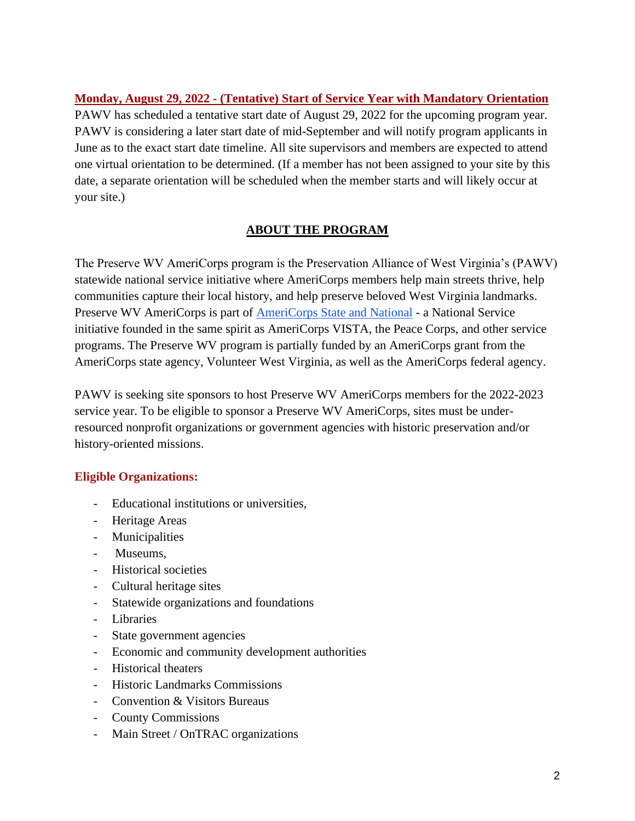**Monday, August 29, 2022 - (Tentative) Start of Service Year with Mandatory Orientation** PAWV has scheduled a tentative start date of August 29, 2022 for the upcoming program year. PAWV is considering a later start date of mid-September and will notify program applicants in June as to the exact start date timeline. All site supervisors and members are expected to attend one virtual orientation to be determined. (If a member has not been assigned to your site by this date, a separate orientation will be scheduled when the member starts and will likely occur at your site.)

#### **ABOUT THE PROGRAM**

The Preserve WV AmeriCorps program is the Preservation Alliance of West Virginia's (PAWV) statewide national service initiative where AmeriCorps members help main streets thrive, help communities capture their local history, and help preserve beloved West Virginia landmarks. Preserve WV AmeriCorps is part of [AmeriCorps State and National](https://www.nationalservice.gov/programs/americorps) - a National Service initiative founded in the same spirit as AmeriCorps VISTA, the Peace Corps, and other service programs. The Preserve WV program is partially funded by an AmeriCorps grant from the AmeriCorps state agency, Volunteer West Virginia, as well as the AmeriCorps federal agency.

PAWV is seeking site sponsors to host Preserve WV AmeriCorps members for the 2022-2023 service year. To be eligible to sponsor a Preserve WV AmeriCorps, sites must be underresourced nonprofit organizations or government agencies with historic preservation and/or history-oriented missions.

#### **Eligible Organizations:**

- Educational institutions or universities,
- Heritage Areas
- Municipalities
- Museums,
- Historical societies
- Cultural heritage sites
- Statewide organizations and foundations
- Libraries
- State government agencies
- Economic and community development authorities
- Historical theaters
- Historic Landmarks Commissions
- Convention & Visitors Bureaus
- County Commissions
- Main Street / OnTRAC organizations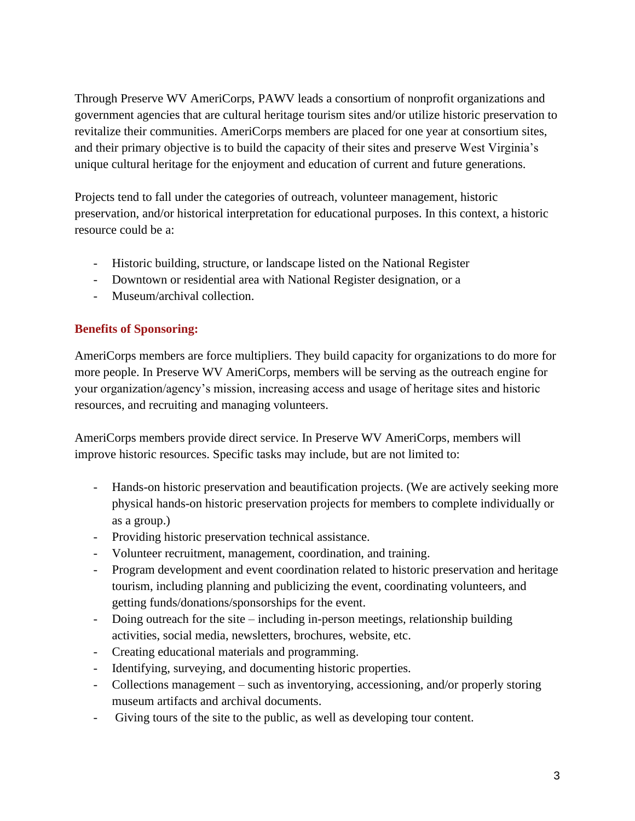Through Preserve WV AmeriCorps, PAWV leads a consortium of nonprofit organizations and government agencies that are cultural heritage tourism sites and/or utilize historic preservation to revitalize their communities. AmeriCorps members are placed for one year at consortium sites, and their primary objective is to build the capacity of their sites and preserve West Virginia's unique cultural heritage for the enjoyment and education of current and future generations.

Projects tend to fall under the categories of outreach, volunteer management, historic preservation, and/or historical interpretation for educational purposes. In this context, a historic resource could be a:

- Historic building, structure, or landscape listed on the National Register
- Downtown or residential area with National Register designation, or a
- Museum/archival collection.

#### **Benefits of Sponsoring:**

AmeriCorps members are force multipliers. They build capacity for organizations to do more for more people. In Preserve WV AmeriCorps, members will be serving as the outreach engine for your organization/agency's mission, increasing access and usage of heritage sites and historic resources, and recruiting and managing volunteers.

AmeriCorps members provide direct service. In Preserve WV AmeriCorps, members will improve historic resources. Specific tasks may include, but are not limited to:

- Hands-on historic preservation and beautification projects. (We are actively seeking more physical hands-on historic preservation projects for members to complete individually or as a group.)
- Providing historic preservation technical assistance.
- Volunteer recruitment, management, coordination, and training.
- Program development and event coordination related to historic preservation and heritage tourism, including planning and publicizing the event, coordinating volunteers, and getting funds/donations/sponsorships for the event.
- Doing outreach for the site including in-person meetings, relationship building activities, social media, newsletters, brochures, website, etc.
- Creating educational materials and programming.
- Identifying, surveying, and documenting historic properties.
- Collections management such as inventorying, accessioning, and/or properly storing museum artifacts and archival documents.
- Giving tours of the site to the public, as well as developing tour content.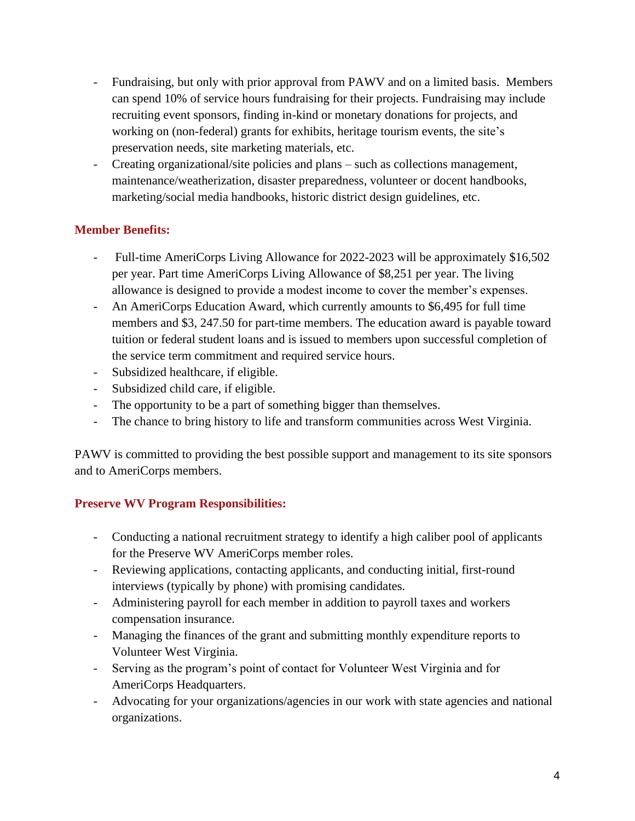- Fundraising, but only with prior approval from PAWV and on a limited basis. Members can spend 10% of service hours fundraising for their projects. Fundraising may include recruiting event sponsors, finding in-kind or monetary donations for projects, and working on (non-federal) grants for exhibits, heritage tourism events, the site's preservation needs, site marketing materials, etc.
- Creating organizational/site policies and plans such as collections management, maintenance/weatherization, disaster preparedness, volunteer or docent handbooks, marketing/social media handbooks, historic district design guidelines, etc.

#### **Member Benefits:**

- Full-time AmeriCorps Living Allowance for 2022-2023 will be approximately \$16,502 per year. Part time AmeriCorps Living Allowance of \$8,251 per year. The living allowance is designed to provide a modest income to cover the member's expenses.
- An AmeriCorps Education Award, which currently amounts to \$6,495 for full time members and \$3, 247.50 for part-time members. The education award is payable toward tuition or federal student loans and is issued to members upon successful completion of the service term commitment and required service hours.
- Subsidized healthcare, if eligible.
- Subsidized child care, if eligible.
- The opportunity to be a part of something bigger than themselves.
- The chance to bring history to life and transform communities across West Virginia.

PAWV is committed to providing the best possible support and management to its site sponsors and to AmeriCorps members.

### **Preserve WV Program Responsibilities:**

- Conducting a national recruitment strategy to identify a high caliber pool of applicants for the Preserve WV AmeriCorps member roles.
- Reviewing applications, contacting applicants, and conducting initial, first-round interviews (typically by phone) with promising candidates.
- Administering payroll for each member in addition to payroll taxes and workers compensation insurance.
- Managing the finances of the grant and submitting monthly expenditure reports to Volunteer West Virginia.
- Serving as the program's point of contact for Volunteer West Virginia and for AmeriCorps Headquarters.
- Advocating for your organizations/agencies in our work with state agencies and national organizations.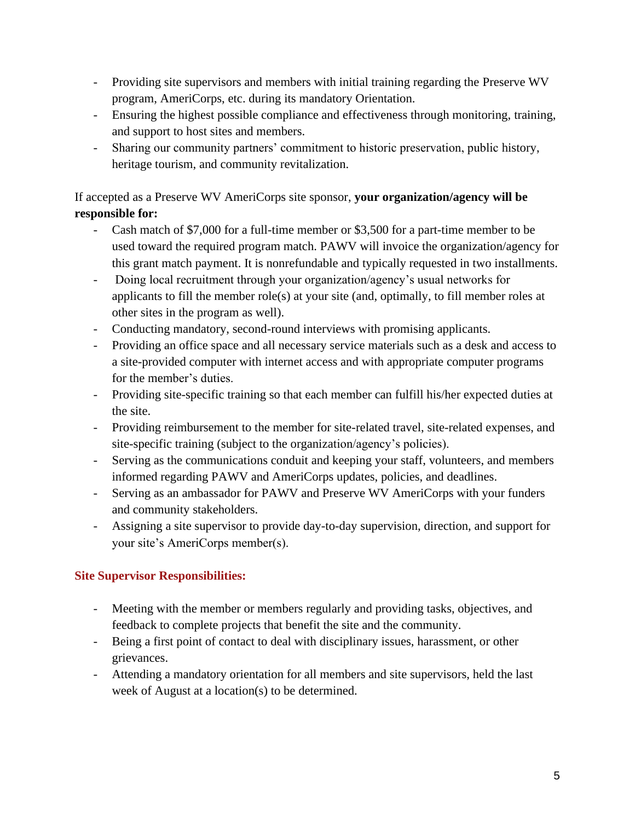- Providing site supervisors and members with initial training regarding the Preserve WV program, AmeriCorps, etc. during its mandatory Orientation.
- Ensuring the highest possible compliance and effectiveness through monitoring, training, and support to host sites and members.
- Sharing our community partners' commitment to historic preservation, public history, heritage tourism, and community revitalization.

## If accepted as a Preserve WV AmeriCorps site sponsor, **your organization/agency will be responsible for:**

- Cash match of \$7,000 for a full-time member or \$3,500 for a part-time member to be used toward the required program match. PAWV will invoice the organization/agency for this grant match payment. It is nonrefundable and typically requested in two installments.
- Doing local recruitment through your organization/agency's usual networks for applicants to fill the member role(s) at your site (and, optimally, to fill member roles at other sites in the program as well).
- Conducting mandatory, second-round interviews with promising applicants.
- Providing an office space and all necessary service materials such as a desk and access to a site-provided computer with internet access and with appropriate computer programs for the member's duties.
- Providing site-specific training so that each member can fulfill his/her expected duties at the site.
- Providing reimbursement to the member for site-related travel, site-related expenses, and site-specific training (subject to the organization/agency's policies).
- Serving as the communications conduit and keeping your staff, volunteers, and members informed regarding PAWV and AmeriCorps updates, policies, and deadlines.
- Serving as an ambassador for PAWV and Preserve WV AmeriCorps with your funders and community stakeholders.
- Assigning a site supervisor to provide day-to-day supervision, direction, and support for your site's AmeriCorps member(s).

### **Site Supervisor Responsibilities:**

- Meeting with the member or members regularly and providing tasks, objectives, and feedback to complete projects that benefit the site and the community.
- Being a first point of contact to deal with disciplinary issues, harassment, or other grievances.
- Attending a mandatory orientation for all members and site supervisors, held the last week of August at a location(s) to be determined.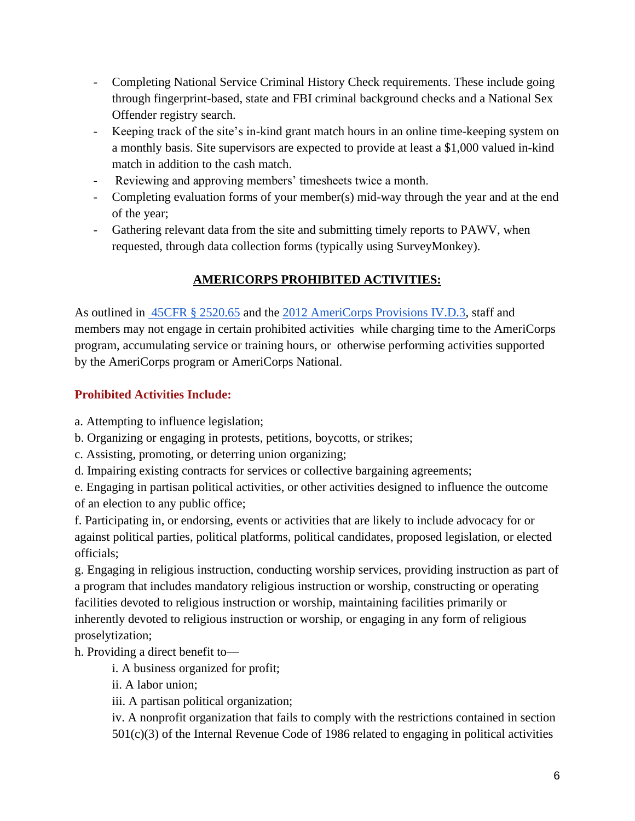- Completing National Service Criminal History Check requirements. These include going through fingerprint-based, state and FBI criminal background checks and a National Sex Offender registry search.
- Keeping track of the site's in-kind grant match hours in an online time-keeping system on a monthly basis. Site supervisors are expected to provide at least a \$1,000 valued in-kind match in addition to the cash match.
- Reviewing and approving members' timesheets twice a month.
- Completing evaluation forms of your member(s) mid-way through the year and at the end of the year;
- Gathering relevant data from the site and submitting timely reports to PAWV, when requested, through data collection forms (typically using SurveyMonkey).

## **AMERICORPS PROHIBITED ACTIVITIES:**

As outlined in [45CFR § 2520.65](https://www.govinfo.gov/app/details/CFR-2015-title45-vol4/CFR-2015-title45-vol4-sec2520-65) and the [2012 AmeriCorps Provisions IV.D.3,](https://egrants.cns.gov/provisions/ACProvisions2012.pdf) staff and members may not engage in certain prohibited activities while charging time to the AmeriCorps program, accumulating service or training hours, or otherwise performing activities supported by the AmeriCorps program or AmeriCorps National.

### **Prohibited Activities Include:**

a. Attempting to influence legislation;

b. Organizing or engaging in protests, petitions, boycotts, or strikes;

c. Assisting, promoting, or deterring union organizing;

d. Impairing existing contracts for services or collective bargaining agreements;

e. Engaging in partisan political activities, or other activities designed to influence the outcome of an election to any public office;

f. Participating in, or endorsing, events or activities that are likely to include advocacy for or against political parties, political platforms, political candidates, proposed legislation, or elected officials;

g. Engaging in religious instruction, conducting worship services, providing instruction as part of a program that includes mandatory religious instruction or worship, constructing or operating facilities devoted to religious instruction or worship, maintaining facilities primarily or inherently devoted to religious instruction or worship, or engaging in any form of religious proselytization;

h. Providing a direct benefit to—

i. A business organized for profit;

ii. A labor union;

iii. A partisan political organization;

iv. A nonprofit organization that fails to comply with the restrictions contained in section  $501(c)(3)$  of the Internal Revenue Code of 1986 related to engaging in political activities